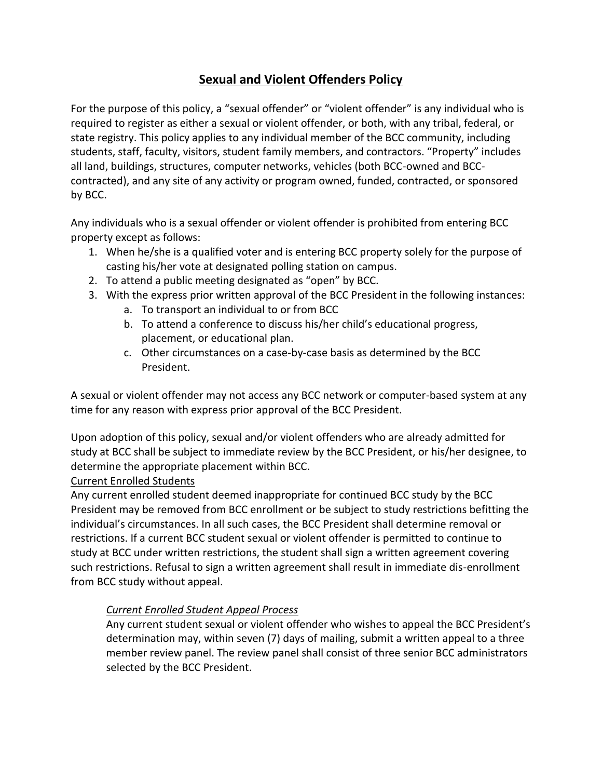# **Sexual and Violent Offenders Policy**

For the purpose of this policy, a "sexual offender" or "violent offender" is any individual who is required to register as either a sexual or violent offender, or both, with any tribal, federal, or state registry. This policy applies to any individual member of the BCC community, including students, staff, faculty, visitors, student family members, and contractors. "Property" includes all land, buildings, structures, computer networks, vehicles (both BCC-owned and BCCcontracted), and any site of any activity or program owned, funded, contracted, or sponsored by BCC.

Any individuals who is a sexual offender or violent offender is prohibited from entering BCC property except as follows:

- 1. When he/she is a qualified voter and is entering BCC property solely for the purpose of casting his/her vote at designated polling station on campus.
- 2. To attend a public meeting designated as "open" by BCC.
- 3. With the express prior written approval of the BCC President in the following instances:
	- a. To transport an individual to or from BCC
	- b. To attend a conference to discuss his/her child's educational progress, placement, or educational plan.
	- c. Other circumstances on a case-by-case basis as determined by the BCC President.

A sexual or violent offender may not access any BCC network or computer-based system at any time for any reason with express prior approval of the BCC President.

Upon adoption of this policy, sexual and/or violent offenders who are already admitted for study at BCC shall be subject to immediate review by the BCC President, or his/her designee, to determine the appropriate placement within BCC.

# Current Enrolled Students

Any current enrolled student deemed inappropriate for continued BCC study by the BCC President may be removed from BCC enrollment or be subject to study restrictions befitting the individual's circumstances. In all such cases, the BCC President shall determine removal or restrictions. If a current BCC student sexual or violent offender is permitted to continue to study at BCC under written restrictions, the student shall sign a written agreement covering such restrictions. Refusal to sign a written agreement shall result in immediate dis-enrollment from BCC study without appeal.

# *Current Enrolled Student Appeal Process*

Any current student sexual or violent offender who wishes to appeal the BCC President's determination may, within seven (7) days of mailing, submit a written appeal to a three member review panel. The review panel shall consist of three senior BCC administrators selected by the BCC President.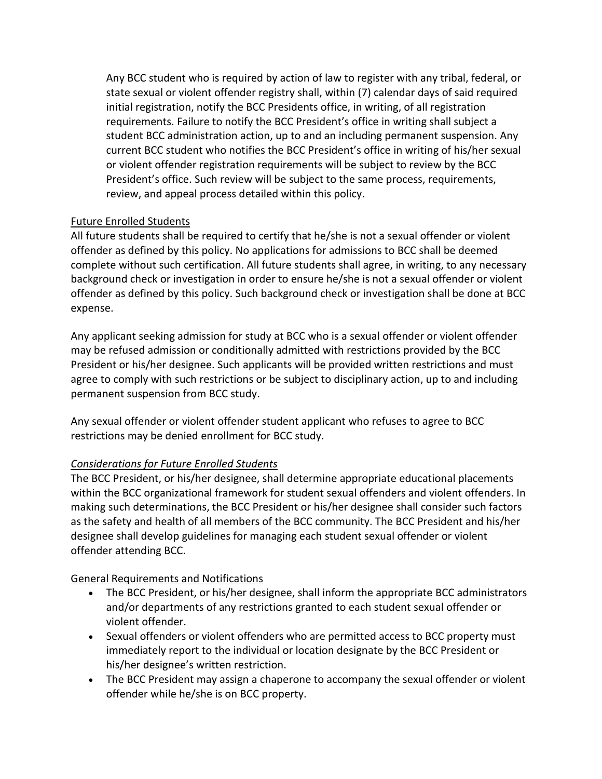Any BCC student who is required by action of law to register with any tribal, federal, or state sexual or violent offender registry shall, within (7) calendar days of said required initial registration, notify the BCC Presidents office, in writing, of all registration requirements. Failure to notify the BCC President's office in writing shall subject a student BCC administration action, up to and an including permanent suspension. Any current BCC student who notifies the BCC President's office in writing of his/her sexual or violent offender registration requirements will be subject to review by the BCC President's office. Such review will be subject to the same process, requirements, review, and appeal process detailed within this policy.

# Future Enrolled Students

All future students shall be required to certify that he/she is not a sexual offender or violent offender as defined by this policy. No applications for admissions to BCC shall be deemed complete without such certification. All future students shall agree, in writing, to any necessary background check or investigation in order to ensure he/she is not a sexual offender or violent offender as defined by this policy. Such background check or investigation shall be done at BCC expense.

Any applicant seeking admission for study at BCC who is a sexual offender or violent offender may be refused admission or conditionally admitted with restrictions provided by the BCC President or his/her designee. Such applicants will be provided written restrictions and must agree to comply with such restrictions or be subject to disciplinary action, up to and including permanent suspension from BCC study.

Any sexual offender or violent offender student applicant who refuses to agree to BCC restrictions may be denied enrollment for BCC study.

# *Considerations for Future Enrolled Students*

The BCC President, or his/her designee, shall determine appropriate educational placements within the BCC organizational framework for student sexual offenders and violent offenders. In making such determinations, the BCC President or his/her designee shall consider such factors as the safety and health of all members of the BCC community. The BCC President and his/her designee shall develop guidelines for managing each student sexual offender or violent offender attending BCC.

# General Requirements and Notifications

- The BCC President, or his/her designee, shall inform the appropriate BCC administrators and/or departments of any restrictions granted to each student sexual offender or violent offender.
- Sexual offenders or violent offenders who are permitted access to BCC property must immediately report to the individual or location designate by the BCC President or his/her designee's written restriction.
- The BCC President may assign a chaperone to accompany the sexual offender or violent offender while he/she is on BCC property.